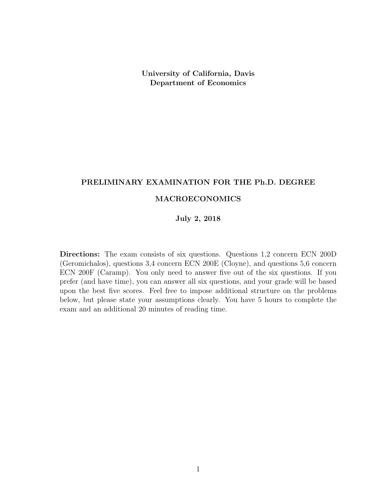University of California, Davis Department of Economics

# PRELIMINARY EXAMINATION FOR THE Ph.D. DEGREE

## MACROECONOMICS

## July 2, 2018

Directions: The exam consists of six questions. Questions 1,2 concern ECN 200D (Geromichalos), questions 3,4 concern ECN 200E (Cloyne), and questions 5,6 concern ECN 200F (Caramp). You only need to answer five out of the six questions. If you prefer (and have time), you can answer all six questions, and your grade will be based upon the best five scores. Feel free to impose additional structure on the problems below, but please state your assumptions clearly. You have 5 hours to complete the exam and an additional 20 minutes of reading time.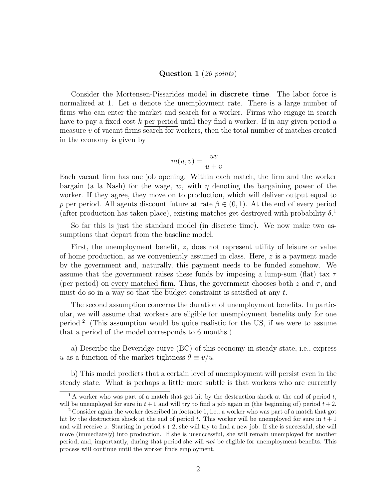#### Question 1 (20 points)

Consider the Mortensen-Pissarides model in discrete time. The labor force is normalized at 1. Let u denote the unemployment rate. There is a large number of firms who can enter the market and search for a worker. Firms who engage in search have to pay a fixed cost k per period until they find a worker. If in any given period a measure  $v$  of vacant firms search for workers, then the total number of matches created in the economy is given by

$$
m(u, v) = \frac{uv}{u + v}.
$$

Each vacant firm has one job opening. Within each match, the firm and the worker bargain (a la Nash) for the wage, w, with  $\eta$  denoting the bargaining power of the worker. If they agree, they move on to production, which will deliver output equal to p per period. All agents discount future at rate  $\beta \in (0,1)$ . At the end of every period (after production has taken place), existing matches get destroyed with probability  $\delta$ <sup>1</sup>

So far this is just the standard model (in discrete time). We now make two assumptions that depart from the baseline model.

First, the unemployment benefit, z, does not represent utility of leisure or value of home production, as we conveniently assumed in class. Here, z is a payment made by the government and, naturally, this payment needs to be funded somehow. We assume that the government raises these funds by imposing a lump-sum (flat) tax  $\tau$ (per period) on every matched firm. Thus, the government chooses both z and  $\tau$ , and must do so in a way so that the budget constraint is satisfied at any  $t$ .

The second assumption concerns the duration of unemployment benefits. In particular, we will assume that workers are eligible for unemployment benefits only for one period.<sup>2</sup> (This assumption would be quite realistic for the US, if we were to assume that a period of the model corresponds to 6 months.)

a) Describe the Beveridge curve (BC) of this economy in steady state, i.e., express u as a function of the market tightness  $\theta \equiv v/u$ .

b) This model predicts that a certain level of unemployment will persist even in the steady state. What is perhaps a little more subtle is that workers who are currently

<sup>&</sup>lt;sup>1</sup> A worker who was part of a match that got hit by the destruction shock at the end of period t, will be unemployed for sure in  $t + 1$  and will try to find a job again in (the beginning of) period  $t + 2$ .

<sup>&</sup>lt;sup>2</sup> Consider again the worker described in footnote 1, i.e., a worker who was part of a match that got hit by the destruction shock at the end of period t. This worker will be unemployed for sure in  $t + 1$ and will receive z. Starting in period  $t + 2$ , she will try to find a new job. If she is successful, she will move (immediately) into production. If she is unsuccessful, she will remain unemployed for another period, and, importantly, during that period she will not be eligible for unemployment benefits. This process will continue until the worker finds employment.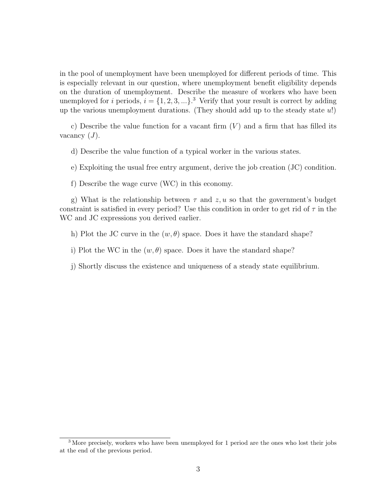in the pool of unemployment have been unemployed for different periods of time. This is especially relevant in our question, where unemployment benefit eligibility depends on the duration of unemployment. Describe the measure of workers who have been unemployed for i periods,  $i = \{1, 2, 3, ...\}$ .<sup>3</sup> Verify that your result is correct by adding up the various unemployment durations. (They should add up to the steady state  $u$ !)

c) Describe the value function for a vacant firm  $(V)$  and a firm that has filled its vacancy  $(J)$ .

d) Describe the value function of a typical worker in the various states.

e) Exploiting the usual free entry argument, derive the job creation (JC) condition.

f) Describe the wage curve (WC) in this economy.

g) What is the relationship between  $\tau$  and  $z, u$  so that the government's budget constraint is satisfied in every period? Use this condition in order to get rid of  $\tau$  in the WC and JC expressions you derived earlier.

h) Plot the JC curve in the  $(w, \theta)$  space. Does it have the standard shape?

i) Plot the WC in the  $(w, \theta)$  space. Does it have the standard shape?

j) Shortly discuss the existence and uniqueness of a steady state equilibrium.

<sup>&</sup>lt;sup>3</sup> More precisely, workers who have been unemployed for 1 period are the ones who lost their jobs at the end of the previous period.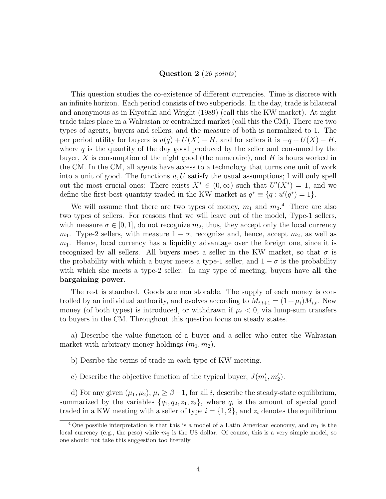#### Question 2 (20 points)

This question studies the co-existence of different currencies. Time is discrete with an infinite horizon. Each period consists of two subperiods. In the day, trade is bilateral and anonymous as in Kiyotaki and Wright (1989) (call this the KW market). At night trade takes place in a Walrasian or centralized market (call this the CM). There are two types of agents, buyers and sellers, and the measure of both is normalized to 1. The per period utility for buyers is  $u(q) + U(X) - H$ , and for sellers it is  $-q + U(X) - H$ , where  $q$  is the quantity of the day good produced by the seller and consumed by the buyer,  $X$  is consumption of the night good (the numeraire), and  $H$  is hours worked in the CM. In the CM, all agents have access to a technology that turns one unit of work into a unit of good. The functions  $u, U$  satisfy the usual assumptions; I will only spell out the most crucial ones: There exists  $X^* \in (0, \infty)$  such that  $U'(X^*) = 1$ , and we define the first-best quantity traded in the KW market as  $q^* \equiv \{q : u'(q^*) = 1\}.$ 

We will assume that there are two types of money,  $m_1$  and  $m_2$ <sup>4</sup>. There are also two types of sellers. For reasons that we will leave out of the model, Type-1 sellers, with measure  $\sigma \in [0, 1]$ , do not recognize  $m_2$ , thus, they accept only the local currency  $m_1$ . Type-2 sellers, with measure  $1 - \sigma$ , recognize and, hence, accept  $m_2$ , as well as  $m_1$ . Hence, local currency has a liquidity advantage over the foreign one, since it is recognized by all sellers. All buyers meet a seller in the KW market, so that  $\sigma$  is the probability with which a buyer meets a type-1 seller, and  $1 - \sigma$  is the probability with which she meets a type-2 seller. In any type of meeting, buyers have **all the** bargaining power.

The rest is standard. Goods are non storable. The supply of each money is controlled by an individual authority, and evolves according to  $M_{i,t+1} = (1 + \mu_i)M_{i,t}$ . New money (of both types) is introduced, or withdrawn if  $\mu_i < 0$ , via lump-sum transfers to buyers in the CM. Throughout this question focus on steady states.

a) Describe the value function of a buyer and a seller who enter the Walrasian market with arbitrary money holdings  $(m_1, m_2)$ .

- b) Desribe the terms of trade in each type of KW meeting.
- c) Describe the objective function of the typical buyer,  $J(m'_1, m'_2)$ .

d) For any given  $(\mu_1, \mu_2), \mu_i \geq \beta - 1$ , for all i, describe the steady-state equilibrium, summarized by the variables  $\{q_1, q_2, z_1, z_2\}$ , where  $q_i$  is the amount of special good traded in a KW meeting with a seller of type  $i = \{1, 2\}$ , and  $z_i$  denotes the equilibrium

<sup>&</sup>lt;sup>4</sup> One possible interpretation is that this is a model of a Latin American economy, and  $m_1$  is the local currency (e.g., the peso) while  $m_2$  is the US dollar. Of course, this is a very simple model, so one should not take this suggestion too literally.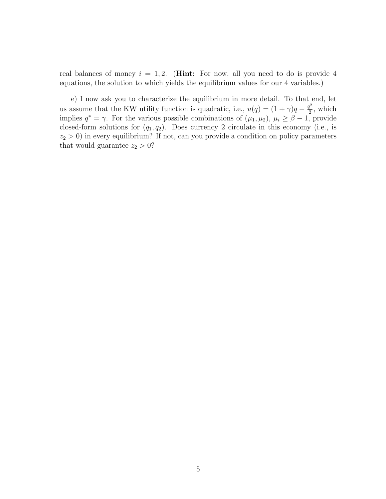real balances of money  $i = 1, 2$ . (**Hint:** For now, all you need to do is provide 4 equations, the solution to which yields the equilibrium values for our 4 variables.)

e) I now ask you to characterize the equilibrium in more detail. To that end, let us assume that the KW utility function is quadratic, i.e.,  $u(q) = (1 + \gamma)q - \frac{q^2}{2}$  $\frac{q^2}{2}$ , which implies  $q^* = \gamma$ . For the various possible combinations of  $(\mu_1, \mu_2), \mu_i \ge \beta - 1$ , provide closed-form solutions for  $(q_1, q_2)$ . Does currency 2 circulate in this economy (i.e., is  $z_2 > 0$ ) in every equilibrium? If not, can you provide a condition on policy parameters that would guarantee  $z_2 > 0$ ?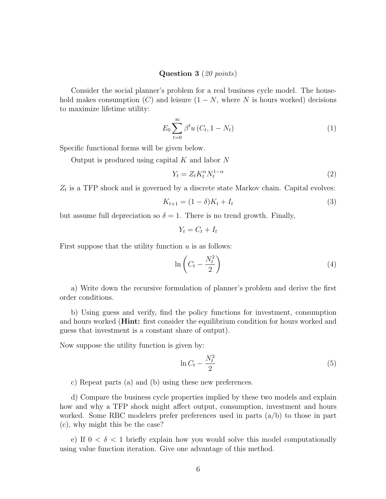### Question 3 (20 points)

Consider the social planner's problem for a real business cycle model. The household makes consumption  $(C)$  and leisure  $(1 - N)$ , where N is hours worked) decisions to maximize lifetime utility:

$$
E_0 \sum_{t=0}^{\infty} \beta^t u (C_t, 1 - N_t)
$$
\n(1)

Specific functional forms will be given below.

Output is produced using capital  $K$  and labor  $N$ 

$$
Y_t = Z_t K_t^{\alpha} N_t^{1-\alpha} \tag{2}
$$

 $Z_t$  is a TFP shock and is governed by a discrete state Markov chain. Capital evolves:

$$
K_{t+1} = (1 - \delta)K_t + I_t
$$
\n(3)

but assume full depreciation so  $\delta = 1$ . There is no trend growth. Finally,

$$
Y_t = C_t + I_t
$$

First suppose that the utility function  $u$  is as follows:

$$
\ln\left(C_t - \frac{N_t^2}{2}\right) \tag{4}
$$

a) Write down the recursive formulation of planner's problem and derive the first order conditions.

b) Using guess and verify, find the policy functions for investment, consumption and hours worked (Hint: first consider the equilibrium condition for hours worked and guess that investment is a constant share of output).

Now suppose the utility function is given by:

$$
\ln C_t - \frac{N_t^2}{2} \tag{5}
$$

c) Repeat parts (a) and (b) using these new preferences.

d) Compare the business cycle properties implied by these two models and explain how and why a TFP shock might affect output, consumption, investment and hours worked. Some RBC modelers prefer preferences used in parts (a/b) to those in part (c), why might this be the case?

e) If  $0 < \delta < 1$  briefly explain how you would solve this model computationally using value function iteration. Give one advantage of this method.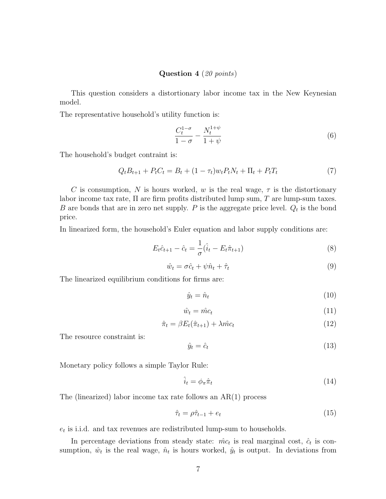#### Question 4 (20 points)

This question considers a distortionary labor income tax in the New Keynesian model.

The representative household's utility function is:

$$
\frac{C_t^{1-\sigma}}{1-\sigma} - \frac{N_t^{1+\psi}}{1+\psi} \tag{6}
$$

The household's budget contraint is:

$$
Q_t B_{t+1} + P_t C_t = B_t + (1 - \tau_t) w_t P_t N_t + \Pi_t + P_t T_t \tag{7}
$$

C is consumption, N is hours worked, w is the real wage,  $\tau$  is the distortionary labor income tax rate,  $\Pi$  are firm profits distributed lump sum,  $T$  are lump-sum taxes. B are bonds that are in zero net supply.  $P$  is the aggregate price level.  $Q_t$  is the bond price.

In linearized form, the household's Euler equation and labor supply conditions are:

$$
E_t \hat{c}_{t+1} - \hat{c}_t = \frac{1}{\sigma} (\hat{i}_t - E_t \hat{\pi}_{t+1})
$$
\n(8)

$$
\hat{w}_t = \sigma \hat{c}_t + \psi \hat{n}_t + \hat{\tau}_t \tag{9}
$$

The linearized equilibrium conditions for firms are:

$$
\hat{y}_t = \hat{n}_t \tag{10}
$$

$$
\hat{w}_t = \hat{m}c_t \tag{11}
$$

$$
\hat{\pi}_t = \beta E_t(\hat{\pi}_{t+1}) + \lambda \hat{m} c_t \tag{12}
$$

The resource constraint is:

$$
\hat{y}_t = \hat{c}_t \tag{13}
$$

Monetary policy follows a simple Taylor Rule:

$$
\hat{i}_t = \phi_\pi \hat{\pi}_t \tag{14}
$$

The (linearized) labor income tax rate follows an AR(1) process

$$
\hat{\tau}_t = \rho \hat{\tau}_{t-1} + e_t \tag{15}
$$

 $e_t$  is i.i.d. and tax revenues are redistributed lump-sum to households.

In percentage deviations from steady state:  $\hat{mc}_t$  is real marginal cost,  $\hat{c}_t$  is consumption,  $\hat{w}_t$  is the real wage,  $\hat{n}_t$  is hours worked,  $\hat{y}_t$  is output. In deviations from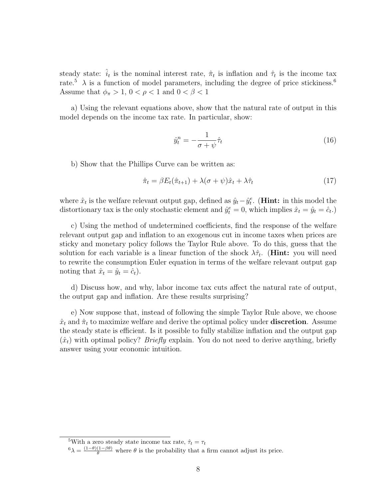steady state:  $\hat{i}_t$  is the nominal interest rate,  $\hat{\pi}_t$  is inflation and  $\hat{\tau}_t$  is the income tax rate.<sup>5</sup>  $\lambda$  is a function of model parameters, including the degree of price stickiness.<sup>6</sup> Assume that  $\phi_{\pi} > 1$ ,  $0 < \rho < 1$  and  $0 < \beta < 1$ 

a) Using the relevant equations above, show that the natural rate of output in this model depends on the income tax rate. In particular, show:

$$
\hat{y}_t^n = -\frac{1}{\sigma + \psi}\hat{\tau}_t \tag{16}
$$

b) Show that the Phillips Curve can be written as:

$$
\hat{\pi}_t = \beta E_t(\hat{\pi}_{t+1}) + \lambda(\sigma + \psi)\hat{x}_t + \lambda \hat{\tau}_t \tag{17}
$$

where  $\hat{x}_t$  is the welfare relevant output gap, defined as  $\hat{y}_t - \hat{y}_t^e$ . (**Hint:** in this model the distortionary tax is the only stochastic element and  $\hat{y}_t^e = 0$ , which implies  $\hat{x}_t = \hat{y}_t = \hat{c}_t$ .

c) Using the method of undetermined coefficients, find the response of the welfare relevant output gap and inflation to an exogenous cut in income taxes when prices are sticky and monetary policy follows the Taylor Rule above. To do this, guess that the solution for each variable is a linear function of the shock  $\lambda \hat{\tau}_t$ . (**Hint:** you will need to rewrite the consumption Euler equation in terms of the welfare relevant output gap noting that  $\hat{x}_t = \hat{y}_t = \hat{c}_t$ .

d) Discuss how, and why, labor income tax cuts affect the natural rate of output, the output gap and inflation. Are these results surprising?

e) Now suppose that, instead of following the simple Taylor Rule above, we choose  $\hat{x}_t$  and  $\hat{\pi}_t$  to maximize welfare and derive the optimal policy under **discretion**. Assume the steady state is efficient. Is it possible to fully stabilize inflation and the output gap  $(\hat{x}_t)$  with optimal policy? *Briefly* explain. You do not need to derive anything, briefly answer using your economic intuition.

<sup>&</sup>lt;sup>5</sup>With a zero steady state income tax rate,  $\hat{\tau}_t = \tau_t$ 

 $^{6}\lambda = \frac{(1-\theta)(1-\beta\theta)}{\theta}$  where  $\theta$  is the probability that a firm cannot adjust its price.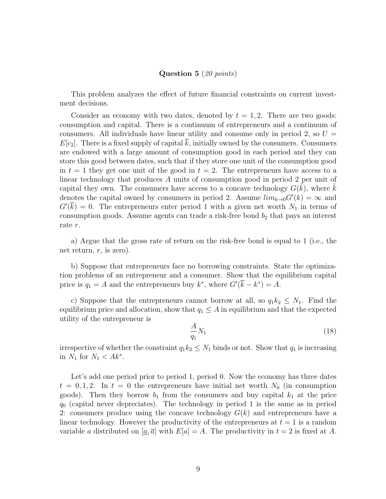#### Question 5 (20 points)

This problem analyzes the effect of future financial constraints on current investment decisions.

Consider an economy with two dates, denoted by  $t = 1, 2$ . There are two goods: consumption and capital. There is a continuum of entrepreneurs and a continuum of consumers. All individuals have linear utility and consume only in period 2, so  $U =$  $E[c_2]$ . There is a fixed supply of capital k, initially owned by the consumers. Consumers are endowed with a large amount of consumption good in each period and they can store this good between dates, such that if they store one unit of the consumption good in  $t = 1$  they get one unit of the good in  $t = 2$ . The entrepreneurs have access to a linear technology that produces A units of consumption good in period 2 per unit of capital they own. The consumers have access to a concave technology  $G(\tilde{k})$ , where  $\tilde{k}$ denotes the capital owned by consumers in period 2. Assume  $\lim_{k\to 0} G'(k) = \infty$  and  $G(\overline{k}) = 0$ . The entrepreneurs enter period 1 with a given net worth  $N_1$  in terms of consumption goods. Assume agents can trade a risk-free bond  $b_2$  that pays an interest rate r.

a) Argue that the gross rate of return on the risk-free bond is equal to 1 (i.e., the net return,  $r$ , is zero).

b) Suppose that entrepreneurs face no borrowing constraints. State the optimization problems of an entrepreneur and a consumer. Show that the equilibrium capital price is  $q_1 = A$  and the entrepreneurs buy  $k^*$ , where  $G'(\overline{k} - k^*) = A$ .

c) Suppose that the entrepreneurs cannot borrow at all, so  $q_1k_2 \leq N_1$ . Find the equilibrium price and allocation, show that  $q_1 \leq A$  in equilibrium and that the expected utility of the entrepreneur is

$$
\frac{A}{q_1}N_1\tag{18}
$$

irrespective of whether the constraint  $q_1k_2 \leq N_1$  binds or not. Show that  $q_1$  is increasing in  $N_1$  for  $N_1 < Ak^*$ .

Let's add one period prior to period 1, period 0. Now the economy has three dates  $t = 0, 1, 2$ . In  $t = 0$  the entrepreneurs have initial net worth  $N_0$  (in consumption goods). Then they borrow  $b_1$  from the consumers and buy capital  $k_1$  at the price  $q_0$  (capital never depreciates). The technology in period 1 is the same as in period 2: consumers produce using the concave technology  $G(k)$  and entrepreneurs have a linear technology. However the productivity of the entrepreneurs at  $t = 1$  is a random variable a distributed on  $[\underline{a}, \overline{a}]$  with  $E[a] = A$ . The productivity in  $t = 2$  is fixed at A.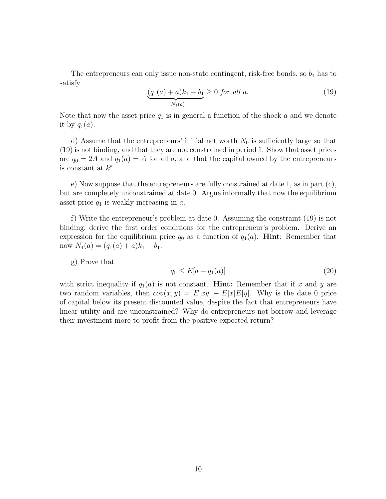The entrepreneurs can only issue non-state contingent, risk-free bonds, so  $b_1$  has to satisfy

$$
\underbrace{(q_1(a) + a)k_1 - b_1}_{=N_1(a)} \ge 0 \text{ for all } a. \tag{19}
$$

Note that now the asset price  $q_1$  is in general a function of the shock a and we denote it by  $q_1(a)$ .

d) Assume that the entrepreneurs' initial net worth  $N_0$  is sufficiently large so that (19) is not binding, and that they are not constrained in period 1. Show that asset prices are  $q_0 = 2A$  and  $q_1(a) = A$  for all a, and that the capital owned by the entrepreneurs is constant at  $k^*$ .

e) Now suppose that the entrepreneurs are fully constrained at date 1, as in part (c), but are completely unconstrained at date 0. Argue informally that now the equilibrium asset price  $q_1$  is weakly increasing in a.

f) Write the entrepreneur's problem at date 0. Assuming the constraint (19) is not binding, derive the first order conditions for the entrepreneur's problem. Derive an expression for the equilibrium price  $q_0$  as a function of  $q_1(a)$ . **Hint**: Remember that now  $N_1(a) = (q_1(a) + a)k_1 - b_1$ .

g) Prove that

$$
q_0 \le E[a + q_1(a)] \tag{20}
$$

with strict inequality if  $q_1(a)$  is not constant. **Hint:** Remember that if x and y are two random variables, then  $cov(x, y) = E[xy] - E[x]E[y]$ . Why is the date 0 price of capital below its present discounted value, despite the fact that entrepreneurs have linear utility and are unconstrained? Why do entrepreneurs not borrow and leverage their investment more to profit from the positive expected return?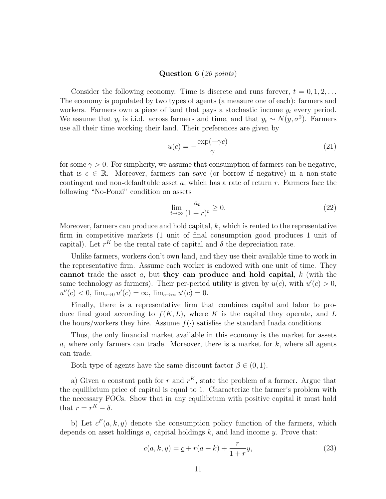#### Question 6 (20 points)

Consider the following economy. Time is discrete and runs forever,  $t = 0, 1, 2, \ldots$ The economy is populated by two types of agents (a measure one of each): farmers and workers. Farmers own a piece of land that pays a stochastic income  $y_t$  every period. We assume that  $y_t$  is i.i.d. across farmers and time, and that  $y_t \sim N(\bar{y}, \sigma^2)$ . Farmers use all their time working their land. Their preferences are given by

$$
u(c) = -\frac{\exp(-\gamma c)}{\gamma} \tag{21}
$$

for some  $\gamma > 0$ . For simplicity, we assume that consumption of farmers can be negative, that is  $c \in \mathbb{R}$ . Moreover, farmers can save (or borrow if negative) in a non-state contingent and non-defaultable asset  $a$ , which has a rate of return  $r$ . Farmers face the following "No-Ponzi" condition on assets

$$
\lim_{t \to \infty} \frac{a_t}{(1+r)^t} \ge 0. \tag{22}
$$

Moreover, farmers can produce and hold capital,  $k$ , which is rented to the representative firm in competitive markets (1 unit of final consumption good produces 1 unit of capital). Let  $r^K$  be the rental rate of capital and  $\delta$  the depreciation rate.

Unlike farmers, workers don't own land, and they use their available time to work in the representative firm. Assume each worker is endowed with one unit of time. They cannot trade the asset  $a$ , but they can produce and hold capital,  $k$  (with the same technology as farmers). Their per-period utility is given by  $u(c)$ , with  $u'(c) > 0$ ,  $u''(c) < 0$ ,  $\lim_{c \to 0} u'(c) = \infty$ ,  $\lim_{c \to \infty} u'(c) = 0$ .

Finally, there is a representative firm that combines capital and labor to produce final good according to  $f(K, L)$ , where K is the capital they operate, and L the hours/workers they hire. Assume  $f(\cdot)$  satisfies the standard Inada conditions.

Thus, the only financial market available in this economy is the market for assets a, where only farmers can trade. Moreover, there is a market for  $k$ , where all agents can trade.

Both type of agents have the same discount factor  $\beta \in (0, 1)$ .

a) Given a constant path for r and  $r^K$ , state the problem of a farmer. Argue that the equilibrium price of capital is equal to 1. Characterize the farmer's problem with the necessary FOCs. Show that in any equilibrium with positive capital it must hold that  $r = r^K - \delta$ .

b) Let  $c^F(a, k, y)$  denote the consumption policy function of the farmers, which depends on asset holdings  $a$ , capital holdings  $k$ , and land income  $y$ . Prove that:

$$
c(a, k, y) = \underline{c} + r(a + k) + \frac{r}{1 + r}y,\tag{23}
$$